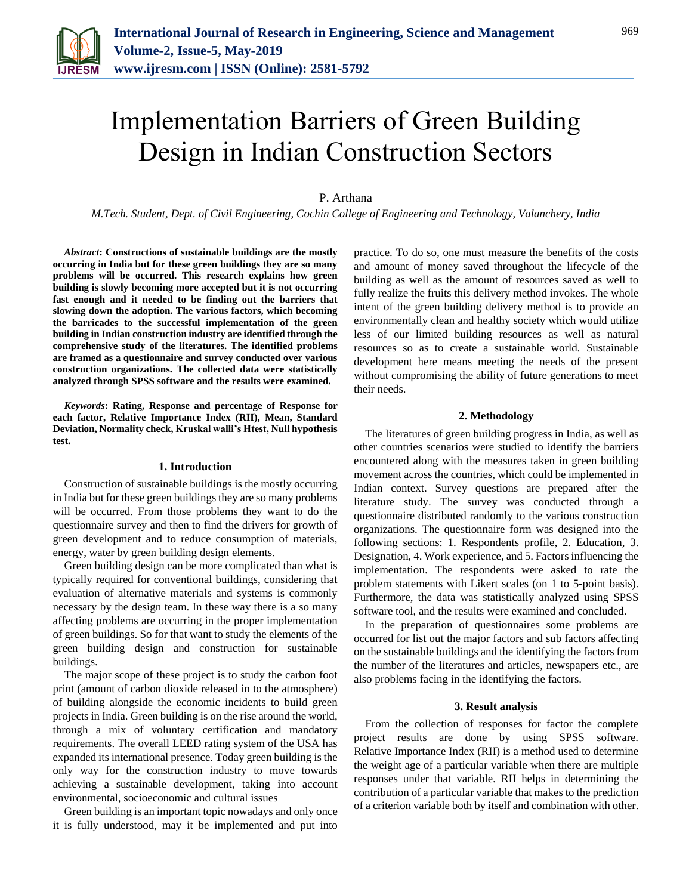

# Implementation Barriers of Green Building Design in Indian Construction Sectors

P. Arthana

*M.Tech. Student, Dept. of Civil Engineering, Cochin College of Engineering and Technology, Valanchery, India*

*Abstract***: Constructions of sustainable buildings are the mostly occurring in India but for these green buildings they are so many problems will be occurred. This research explains how green building is slowly becoming more accepted but it is not occurring fast enough and it needed to be finding out the barriers that slowing down the adoption. The various factors, which becoming the barricades to the successful implementation of the green building in Indian construction industry are identified through the comprehensive study of the literatures. The identified problems are framed as a questionnaire and survey conducted over various construction organizations. The collected data were statistically analyzed through SPSS software and the results were examined.** 

*Keywords***: Rating, Response and percentage of Response for each factor, Relative Importance Index (RII), Mean, Standard Deviation, Normality check, Kruskal walli's Htest, Null hypothesis test.**

## **1. Introduction**

Construction of sustainable buildings is the mostly occurring in India but for these green buildings they are so many problems will be occurred. From those problems they want to do the questionnaire survey and then to find the drivers for growth of green development and to reduce consumption of materials, energy, water by green building design elements.

Green building design can be more complicated than what is typically required for conventional buildings, considering that evaluation of alternative materials and systems is commonly necessary by the design team. In these way there is a so many affecting problems are occurring in the proper implementation of green buildings. So for that want to study the elements of the green building design and construction for sustainable buildings.

The major scope of these project is to study the carbon foot print (amount of carbon dioxide released in to the atmosphere) of building alongside the economic incidents to build green projects in India. Green building is on the rise around the world, through a mix of voluntary certification and mandatory requirements. The overall LEED rating system of the USA has expanded its international presence. Today green building is the only way for the construction industry to move towards achieving a sustainable development, taking into account environmental, socioeconomic and cultural issues

Green building is an important topic nowadays and only once it is fully understood, may it be implemented and put into

practice. To do so, one must measure the benefits of the costs and amount of money saved throughout the lifecycle of the building as well as the amount of resources saved as well to fully realize the fruits this delivery method invokes. The whole intent of the green building delivery method is to provide an environmentally clean and healthy society which would utilize less of our limited building resources as well as natural resources so as to create a sustainable world. Sustainable development here means meeting the needs of the present without compromising the ability of future generations to meet their needs.

#### **2. Methodology**

The literatures of green building progress in India, as well as other countries scenarios were studied to identify the barriers encountered along with the measures taken in green building movement across the countries, which could be implemented in Indian context. Survey questions are prepared after the literature study. The survey was conducted through a questionnaire distributed randomly to the various construction organizations. The questionnaire form was designed into the following sections: 1. Respondents profile, 2. Education, 3. Designation, 4. Work experience, and 5. Factors influencing the implementation. The respondents were asked to rate the problem statements with Likert scales (on 1 to 5-point basis). Furthermore, the data was statistically analyzed using SPSS software tool, and the results were examined and concluded.

In the preparation of questionnaires some problems are occurred for list out the major factors and sub factors affecting on the sustainable buildings and the identifying the factors from the number of the literatures and articles, newspapers etc., are also problems facing in the identifying the factors.

## **3. Result analysis**

From the collection of responses for factor the complete project results are done by using SPSS software. Relative Importance Index (RII) is a method used to determine the weight age of a particular variable when there are multiple responses under that variable. RII helps in determining the contribution of a particular variable that makes to the prediction of a criterion variable both by itself and combination with other.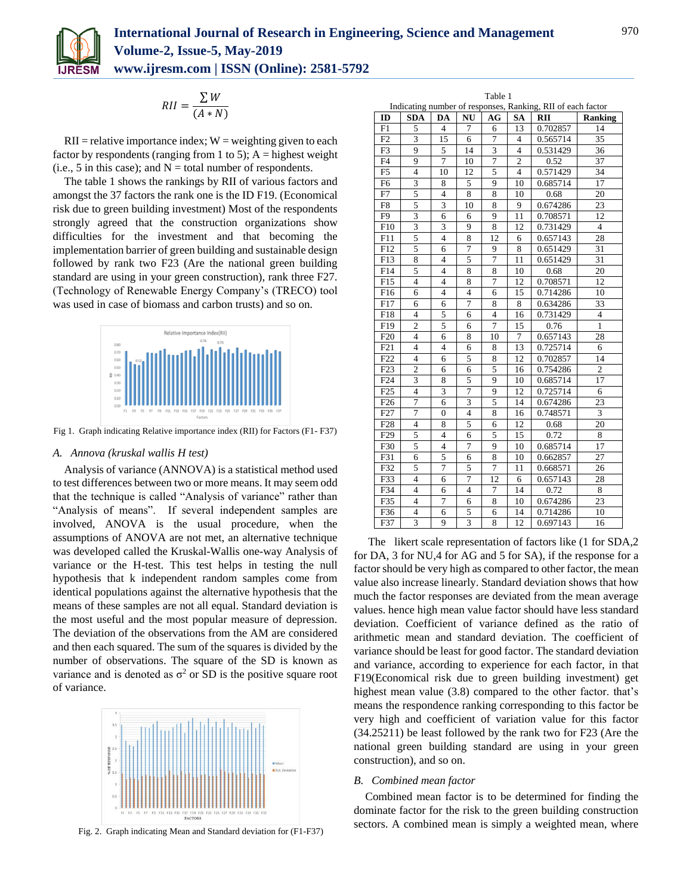

$$
RII = \frac{\sum W}{(A*N)}
$$

 $RII$  = relative importance index;  $W$  = weighting given to each factor by respondents (ranging from 1 to 5);  $A =$  highest weight (i.e., 5 in this case); and  $N =$  total number of respondents.

The table 1 shows the rankings by RII of various factors and amongst the 37 factors the rank one is the ID F19. (Economical risk due to green building investment) Most of the respondents strongly agreed that the construction organizations show difficulties for the investment and that becoming the implementation barrier of green building and sustainable design followed by rank two F23 (Are the national green building standard are using in your green construction), rank three F27. (Technology of Renewable Energy Company's (TRECO) tool was used in case of biomass and carbon trusts) and so on.



Fig 1. Graph indicating Relative importance index (RII) for Factors (F1- F37)

## *A. Annova (kruskal wallis H test)*

Analysis of variance (ANNOVA) is a statistical method used to test differences between two or more means. It may seem odd that the technique is called "Analysis of variance" rather than "Analysis of means". If several independent samples are involved, ANOVA is the usual procedure, when the assumptions of ANOVA are not met, an alternative technique was developed called the Kruskal-Wallis one-way Analysis of variance or the H-test. This test helps in testing the null hypothesis that k independent random samples come from identical populations against the alternative hypothesis that the means of these samples are not all equal. Standard deviation is the most useful and the most popular measure of depression. The deviation of the observations from the AM are considered and then each squared. The sum of the squares is divided by the number of observations. The square of the SD is known as variance and is denoted as  $\sigma^2$  or SD is the positive square root of variance.



Fig. 2. Graph indicating Mean and Standard deviation for (F1-F37)

| Table 1<br>Indicating number of responses, Ranking, RII of each factor |                         |                |                         |    |                |          |                |  |  |
|------------------------------------------------------------------------|-------------------------|----------------|-------------------------|----|----------------|----------|----------------|--|--|
| ID                                                                     | SDA                     | DA             | NU                      | AG | <b>SA</b>      | RII      | <b>Ranking</b> |  |  |
| F1                                                                     | 5                       | 4              | 7                       | 6  | 13             | 0.702857 | 14             |  |  |
| F2                                                                     | 3                       | 15             | 6                       | 7  | 4              | 0.565714 | 35             |  |  |
| F3                                                                     | 9                       | 5              | 14                      | 3  | 4              | 0.531429 | 36             |  |  |
| F <sub>4</sub>                                                         | 9                       | 7              | 10                      | 7  | $\overline{c}$ | 0.52     | 37             |  |  |
| F <sub>5</sub>                                                         | $\overline{4}$          | 10             | 12                      | 5  | $\overline{4}$ | 0.571429 | 34             |  |  |
| F <sub>6</sub>                                                         | 3                       | 8              | 5                       | 9  | 10             | 0.685714 | 17             |  |  |
| F7                                                                     | 5                       | $\overline{4}$ | 8                       | 8  | 10             | 0.68     | 20             |  |  |
| F8                                                                     | 5                       | 3              | 10                      | 8  | 9              | 0.674286 | 23             |  |  |
| F9                                                                     | $\overline{\mathbf{3}}$ | 6              | 6                       | 9  | 11             | 0.708571 | 12             |  |  |
| F10                                                                    | $\overline{3}$          | 3              | 9                       | 8  | 12             | 0.731429 | $\overline{4}$ |  |  |
| F11                                                                    | 5                       | 4              | 8                       | 12 | 6              | 0.657143 | 28             |  |  |
| F12                                                                    | 5                       | 6              | 7                       | 9  | 8              | 0.651429 | 31             |  |  |
| F13                                                                    | 8                       | $\overline{4}$ | 5                       | 7  | 11             | 0.651429 | 31             |  |  |
| F14                                                                    | 5                       | 4              | 8                       | 8  | 10             | 0.68     | 20             |  |  |
| F15                                                                    | 4                       | 4              | 8                       | 7  | 12             | 0.708571 | 12             |  |  |
| F16                                                                    | 6                       | $\overline{4}$ | $\overline{\mathbf{4}}$ | 6  | 15             | 0.714286 | 10             |  |  |
| F17                                                                    | 6                       | 6              | 7                       | 8  | 8              | 0.634286 | 33             |  |  |
| F18                                                                    | 4                       | 5              | 6                       | 4  | 16             | 0.731429 | 4              |  |  |
| F19                                                                    | $\overline{2}$          | 5              | 6                       | 7  | 15             | 0.76     | $\mathbf{1}$   |  |  |
| F20                                                                    | 4                       | 6              | 8                       | 10 | 7              | 0.657143 | 28             |  |  |
| F21                                                                    | $\overline{4}$          | $\overline{4}$ | 6                       | 8  | 13             | 0.725714 | 6              |  |  |
| F22                                                                    | $\overline{4}$          | 6              | 5                       | 8  | 12             | 0.702857 | 14             |  |  |
| F23                                                                    | $\overline{c}$          | 6              | 6                       | 5  | 16             | 0.754286 | $\overline{c}$ |  |  |
| F <sub>24</sub>                                                        | 3                       | 8              | 5                       | 9  | 10             | 0.685714 | 17             |  |  |
| F25                                                                    | $\overline{4}$          | 3              | $\overline{7}$          | 9  | 12             | 0.725714 | 6              |  |  |
| F <sub>26</sub>                                                        | $\overline{7}$          | 6              | $\overline{3}$          | 5  | 14             | 0.674286 | 23             |  |  |
| F <sub>27</sub>                                                        | $\overline{7}$          | $\overline{0}$ | $\overline{4}$          | 8  | 16             | 0.748571 | 3              |  |  |
| F28                                                                    | 4                       | 8              | 5                       | 6  | 12             | 0.68     | 20             |  |  |
| F29                                                                    | 5                       | $\overline{4}$ | 6                       | 5  | 15             | 0.72     | 8              |  |  |
| F30                                                                    | 5                       | $\overline{4}$ | $\overline{7}$          | 9  | 10             | 0.685714 | 17             |  |  |
| F31                                                                    | 6                       | 5              | 6                       | 8  | 10             | 0.662857 | 27             |  |  |
| F32                                                                    | 5                       | 7              | 5                       | 7  | 11             | 0.668571 | 26             |  |  |
| F33                                                                    | 4                       | 6              | $\overline{7}$          | 12 | 6              | 0.657143 | 28             |  |  |
| F34                                                                    | 4                       | 6              | $\overline{4}$          | 7  | 14             | 0.72     | 8              |  |  |
| F35                                                                    | 4                       | 7              | 6                       | 8  | 10             | 0.674286 | 23             |  |  |
| F36                                                                    | $\overline{4}$          | 6              | 5                       | 6  | 14             | 0.714286 | 10             |  |  |
| F37                                                                    | 3                       | 9              | 3                       | 8  | 12             | 0.697143 | 16             |  |  |

The likert scale representation of factors like (1 for SDA,2 for DA, 3 for NU,4 for AG and 5 for SA), if the response for a factor should be very high as compared to other factor, the mean value also increase linearly. Standard deviation shows that how much the factor responses are deviated from the mean average values. hence high mean value factor should have less standard deviation. Coefficient of variance defined as the ratio of arithmetic mean and standard deviation. The coefficient of variance should be least for good factor. The standard deviation and variance, according to experience for each factor, in that F19(Economical risk due to green building investment) get highest mean value (3.8) compared to the other factor. that's means the respondence ranking corresponding to this factor be very high and coefficient of variation value for this factor (34.25211) be least followed by the rank two for F23 (Are the national green building standard are using in your green construction), and so on.

#### *B. Combined mean factor*

Combined mean factor is to be determined for finding the dominate factor for the risk to the green building construction sectors. A combined mean is simply a weighted mean, where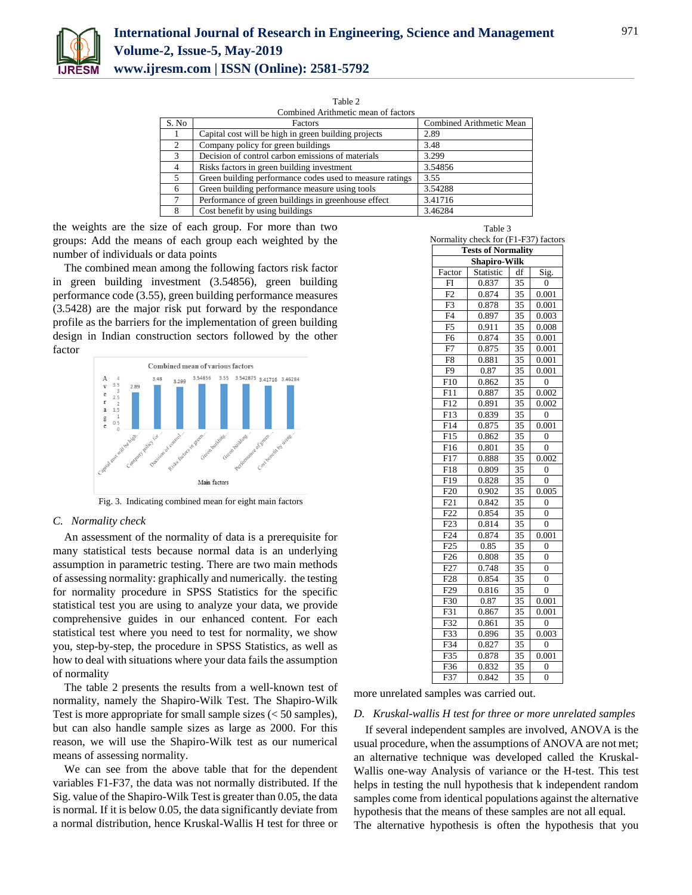

| Combined Arithmetic mean of factors |                                                          |                          |  |  |  |
|-------------------------------------|----------------------------------------------------------|--------------------------|--|--|--|
| S. No                               | Factors                                                  | Combined Arithmetic Mean |  |  |  |
|                                     | Capital cost will be high in green building projects     | 2.89                     |  |  |  |
| 2                                   | Company policy for green buildings                       | 3.48                     |  |  |  |
| 3                                   | Decision of control carbon emissions of materials        | 3.299                    |  |  |  |
| 4                                   | Risks factors in green building investment               | 3.54856                  |  |  |  |
| 5                                   | Green building performance codes used to measure ratings | 3.55                     |  |  |  |
| 6                                   | Green building performance measure using tools           | 3.54288                  |  |  |  |
| ⇁                                   | Performance of green buildings in greenhouse effect      | 3.41716                  |  |  |  |
| 8                                   | Cost benefit by using buildings                          | 3.46284                  |  |  |  |

the weights are the size of each group. For more than two groups: Add the means of each group each weighted by the number of individuals or data points

The combined mean among the following factors risk factor in green building investment (3.54856), green building performance code (3.55), green building performance measures (3.5428) are the major risk put forward by the respondance profile as the barriers for the implementation of green building design in Indian construction sectors followed by the other factor



Fig. 3. Indicating combined mean for eight main factors

## *C. Normality check*

An assessment of the normality of data is a prerequisite for many statistical tests because normal data is an underlying assumption in parametric testing. There are two main methods of assessing normality: graphically and numerically. the testing for normality procedure in SPSS Statistics for the specific statistical test you are using to analyze your data, we provide comprehensive guides in our enhanced content. For each statistical test where you need to test for normality, we show you, step-by-step, the procedure in SPSS Statistics, as well as how to deal with situations where your data fails the assumption of normality

The table 2 presents the results from a well-known test of normality, namely the Shapiro-Wilk Test. The Shapiro-Wilk Test is more appropriate for small sample sizes (< 50 samples), but can also handle sample sizes as large as 2000. For this reason, we will use the Shapiro-Wilk test as our numerical means of assessing normality.

We can see from the above table that for the dependent variables F1-F37, the data was not normally distributed. If the Sig. value of the Shapiro-Wilk Test is greater than 0.05, the data is normal. If it is below 0.05, the data significantly deviate from a normal distribution, hence Kruskal-Wallis H test for three or

| Table 3                   |                                      |                 |                |  |  |  |  |  |  |
|---------------------------|--------------------------------------|-----------------|----------------|--|--|--|--|--|--|
|                           | Normality check for (F1-F37) factors |                 |                |  |  |  |  |  |  |
| <b>Tests of Normality</b> |                                      |                 |                |  |  |  |  |  |  |
| <b>Shapiro-Wilk</b>       |                                      |                 |                |  |  |  |  |  |  |
| Factor                    | Statistic                            | df              | Sig.           |  |  |  |  |  |  |
| FI                        | 0.837                                | 35              | $\overline{0}$ |  |  |  |  |  |  |
| F2                        | 0.874                                | 35              | 0.001          |  |  |  |  |  |  |
| F3                        | 0.878                                | 35              | 0.001          |  |  |  |  |  |  |
| $\overline{F4}$           | 0.897                                | 35              | 0.003          |  |  |  |  |  |  |
| F <sub>5</sub>            | 0.911                                | 35              | 0.008          |  |  |  |  |  |  |
| F <sub>6</sub>            | 0.874                                | 35              | 0.001          |  |  |  |  |  |  |
| F7                        | 0.875                                | 35              | 0.001          |  |  |  |  |  |  |
| F <sub>8</sub>            | 0.881                                | 35              | 0.001          |  |  |  |  |  |  |
| F <sub>9</sub>            | 0.87                                 | 35              | 0.001          |  |  |  |  |  |  |
| F10                       | 0.862                                | 35              | $\overline{0}$ |  |  |  |  |  |  |
| F11                       | 0.887                                | 35              | 0.002          |  |  |  |  |  |  |
| F12                       | 0.891                                | $\overline{35}$ | 0.002          |  |  |  |  |  |  |
| F <sub>13</sub>           | 0.839                                | 35              | 0              |  |  |  |  |  |  |
| F14                       | 0.875                                | 35              | 0.001          |  |  |  |  |  |  |
| F15                       | 0.862                                | $\overline{35}$ | $\theta$       |  |  |  |  |  |  |
| F16                       | 0.801                                | 35              | $\overline{0}$ |  |  |  |  |  |  |
| F17                       | 0.888                                | 35              | 0.002          |  |  |  |  |  |  |
| F18                       | 0.809                                | 35              | 0              |  |  |  |  |  |  |
| F19                       | 0.828                                | 35              | 0              |  |  |  |  |  |  |
| F20                       | 0.902                                | $\overline{35}$ | 0.005          |  |  |  |  |  |  |
| F21                       | 0.842                                | 35              | $\overline{0}$ |  |  |  |  |  |  |
| F <sub>22</sub>           | 0.854                                | 35              | $\overline{0}$ |  |  |  |  |  |  |
| F <sub>23</sub>           | 0.814                                | 35              | $\theta$       |  |  |  |  |  |  |
| F24                       | 0.874                                | 35              | 0.001          |  |  |  |  |  |  |
| F25                       | 0.85                                 | 35              | $\theta$       |  |  |  |  |  |  |
| F <sub>26</sub>           | 0.808                                | 35              | $\theta$       |  |  |  |  |  |  |
| F27                       | 0.748                                | 35              | 0              |  |  |  |  |  |  |
| F <sub>28</sub>           | 0.854                                | 35              | $\overline{0}$ |  |  |  |  |  |  |
| F <sub>29</sub>           | 0.816                                | 35              | $\overline{0}$ |  |  |  |  |  |  |
| F30                       | 0.87                                 | 35              | 0.001          |  |  |  |  |  |  |
| F31                       | 0.867                                | 35              | 0.001          |  |  |  |  |  |  |
| F32                       | 0.861                                | 35              | $\overline{0}$ |  |  |  |  |  |  |
| $F\overline{33}$          | 0.896                                | 35              | 0.003          |  |  |  |  |  |  |
| F34                       | 0.827                                | 35              | $\overline{0}$ |  |  |  |  |  |  |
| $\overline{F35}$          | 0.878                                | 35              | 0.001          |  |  |  |  |  |  |
| F36                       | 0.832                                | 35              | 0              |  |  |  |  |  |  |
| F37                       | 0.842                                | 35              | $\overline{0}$ |  |  |  |  |  |  |

more unrelated samples was carried out.

## *D. Kruskal-wallis H test for three or more unrelated samples*

If several independent samples are involved, ANOVA is the usual procedure, when the assumptions of ANOVA are not met; an alternative technique was developed called the Kruskal-Wallis one-way Analysis of variance or the H-test. This test helps in testing the null hypothesis that k independent random samples come from identical populations against the alternative hypothesis that the means of these samples are not all equal. The alternative hypothesis is often the hypothesis that you

971

Table 2